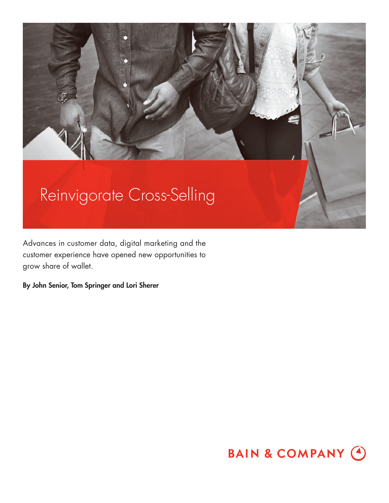

Advances in customer data, digital marketing and the customer experience have opened new opportunities to grow share of wallet.

**By John Senior, Tom Springer and Lori Sherer**

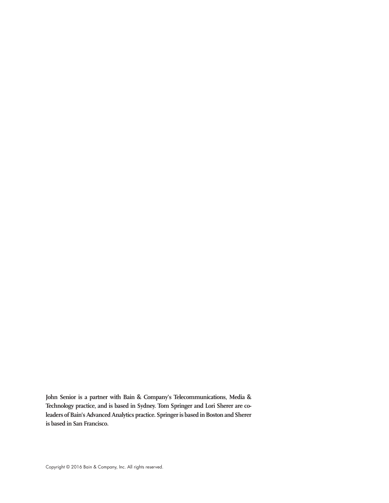**John Senior is a partner with Bain & Company's Telecommunications, Media & Technology practice, and is based in Sydney. Tom Springer and Lori Sherer are coleaders of Bain's Advanced Analytics practice. Springer is based in Boston and Sherer is based in San Francisco.**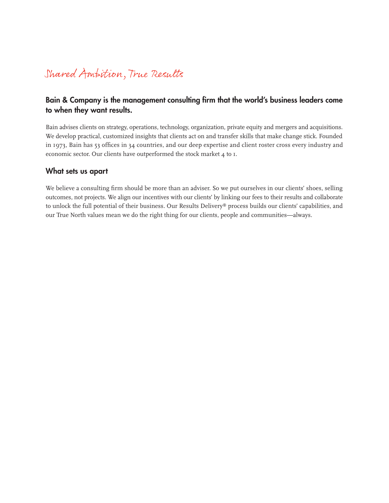## Shared Ampition, True Results

## Bain & Company is the management consulting firm that the world's business leaders come **to when they want results.**

Bain advises clients on strategy, operations, technology, organization, private equity and mergers and acquisitions. We develop practical, customized insights that clients act on and transfer skills that make change stick. Founded in 1973, Bain has 53 offices in 34 countries, and our deep expertise and client roster cross every industry and economic sector. Our clients have outperformed the stock market 4 to 1.

## **What sets us apart**

We believe a consulting firm should be more than an adviser. So we put ourselves in our clients' shoes, selling outcomes, not projects. We align our incentives with our clients' by linking our fees to their results and collaborate to unlock the full potential of their business. Our Results Delivery® process builds our clients' capabilities, and our True North values mean we do the right thing for our clients, people and communities—always.